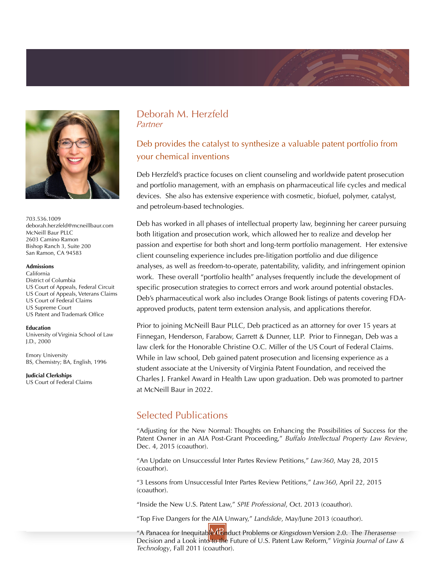

703.536.1009 deborah.herzfeld@mcneillbaur.com McNeill Baur PLLC 2603 Camino Ramon Bishop Ranch 3, Suite 200 San Ramon, CA 94583

#### **Admissions**

California District of Columbia US Court of Appeals, Federal Circuit US Court of Appeals, Veterans Claims US Court of Federal Claims US Supreme Court US Patent and Trademark Office

#### **Education**

University of Virginia School of Law J.D., 2000

Emory University BS, Chemistry; BA, English, 1996

**Judicial Clerkships** US Court of Federal Claims

### Deborah M. Herzfeld Partner

## Deb provides the catalyst to synthesize a valuable patent portfolio from your chemical inventions

Deb Herzfeld's practice focuses on client counseling and worldwide patent prosecution and portfolio management, with an emphasis on pharmaceutical life cycles and medical devices. She also has extensive experience with cosmetic, biofuel, polymer, catalyst, and petroleum-based technologies.

Deb has worked in all phases of intellectual property law, beginning her career pursuing both litigation and prosecution work, which allowed her to realize and develop her passion and expertise for both short and long-term portfolio management. Her extensive client counseling experience includes pre-litigation portfolio and due diligence analyses, as well as freedom-to-operate, patentability, validity, and infringement opinion work. These overall "portfolio health" analyses frequently include the development of specific prosecution strategies to correct errors and work around potential obstacles. Deb's pharmaceutical work also includes Orange Book listings of patents covering FDAapproved products, patent term extension analysis, and applications therefor.

Prior to joining McNeill Baur PLLC, Deb practiced as an attorney for over 15 years at Finnegan, Henderson, Farabow, Garrett & Dunner, LLP. Prior to Finnegan, Deb was a law clerk for the Honorable Christine O.C. Miller of the US Court of Federal Claims. While in law school, Deb gained patent prosecution and licensing experience as a student associate at the University of Virginia Patent Foundation, and received the Charles J. Frankel Award in Health Law upon graduation. Deb was promoted to partner at McNeill Baur in 2022.

# Selected Publications

"Adjusting for the New Normal: Thoughts on Enhancing the Possibilities of Success for the Patent Owner in an AIA Post-Grant Proceeding," *Buffalo Intellectual Property Law Review*, Dec. 4, 2015 (coauthor).

"An Update on Unsuccessful Inter Partes Review Petitions," *Law360*, May 28, 2015 (coauthor).

"3 Lessons from Unsuccessful Inter Partes Review Petitions," *Law360*, April 22, 2015 (coauthor).

"Inside the New U.S. Patent Law," *SPIE Professional*, Oct. 2013 (coauthor).

"Top Five Dangers for the AIA Unwary," *Landslide*, May/June 2013 (coauthor).

MB "A Panacea for Inequitable Conduct Problems or *Kingsdown* Version 2.0. The *Therasense* Decision and a Look into to the Future of U.S. Patent Law Reform," *Virginia Journal of Law & Technology*, Fall 2011 (coauthor).